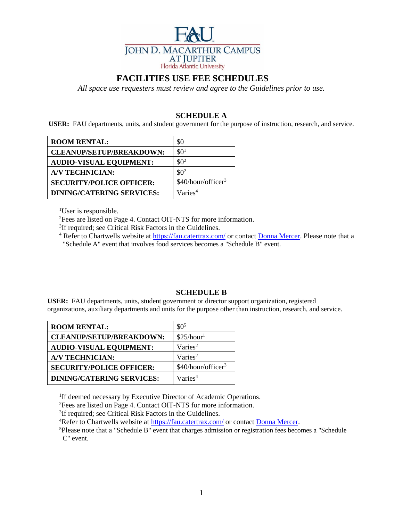

# **FACILITIES USE FEE SCHEDULES**

*All space use requesters must review and agree to the Guidelines prior to use.*

### **SCHEDULE A**

**USER:** FAU departments, units, and student government for the purpose of instruction, research, and service.

| <b>ROOM RENTAL:</b>              | \$0                               |
|----------------------------------|-----------------------------------|
| <b>CLEANUP/SETUP/BREAKDOWN:</b>  | \$0 <sup>1</sup>                  |
| <b>AUDIO-VISUAL EQUIPMENT:</b>   | $$0^2$$                           |
| <b>A/V TECHNICIAN:</b>           | $$0^2$$                           |
| <b>SECURITY/POLICE OFFICER:</b>  | \$40/hour/offseticer <sup>3</sup> |
| <b>DINING/CATERING SERVICES:</b> | Varies <sup>4</sup>               |

<sup>1</sup>User is responsible.

<sup>2</sup>Fees are listed on Page 4. Contact OIT-NTS for more information.

<sup>3</sup>If required; see Critical Risk Factors in the Guidelines.

<sup>4</sup> Refer to Chartwells website at<https://fau.catertrax.com/> or contact [Donna Mercer.](mailto:djanez@gmx.com) Please note that a "Schedule A" event that involves food services becomes a "Schedule B" event.

### **SCHEDULE B**

**USER:** FAU departments, units, student government or director support organization, registered organizations, auxiliary departments and units for the purpose other than instruction, research, and service.

| <b>ROOM RENTAL:</b>              | $\$0^5$                        |
|----------------------------------|--------------------------------|
| <b>CLEANUP/SETUP/BREAKDOWN:</b>  | \$25/hour <sup>1</sup>         |
| <b>AUDIO-VISUAL EQUIPMENT:</b>   | Varies <sup>2</sup>            |
| <b>A/V TECHNICIAN:</b>           | Varies <sup>2</sup>            |
| <b>SECURITY/POLICE OFFICER:</b>  | \$40/hour/officer <sup>3</sup> |
| <b>DINING/CATERING SERVICES:</b> | Varies <sup>4</sup>            |

<sup>1</sup>If deemed necessary by Executive Director of Academic Operations.

<sup>2</sup>Fees are listed on Page 4. Contact OIT-NTS for more information.

<sup>3</sup>If required; see Critical Risk Factors in the Guidelines.

<sup>4</sup>Refer to Chartwells website at<https://fau.catertrax.com/> or contact [Donna Mercer.](mailto:djanez@gmx.com)

<sup>5</sup>Please note that a "Schedule B" event that charges admission or registration fees becomes a "Schedule" C" event.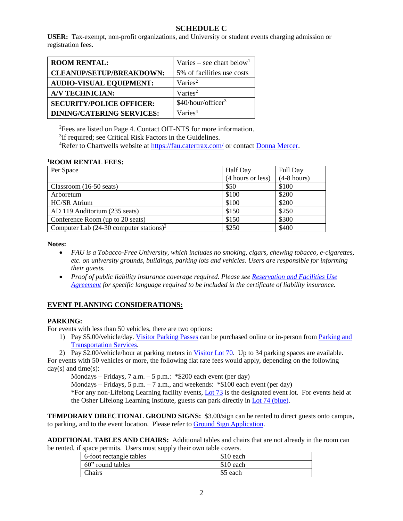## **SCHEDULE C**

**USER:** Tax-exempt, non-profit organizations, and University or student events charging admission or registration fees.

| <b>ROOM RENTAL:</b>              | Varies – see chart below <sup>1</sup> |  |
|----------------------------------|---------------------------------------|--|
| <b>CLEANUP/SETUP/BREAKDOWN:</b>  | 5% of facilities use costs            |  |
| <b>AUDIO-VISUAL EQUIPMENT:</b>   | Varies <sup>2</sup>                   |  |
| <b>A/V TECHNICIAN:</b>           | Varies <sup>2</sup>                   |  |
| <b>SECURITY/POLICE OFFICER:</b>  | \$40/hour/officer <sup>3</sup>        |  |
| <b>DINING/CATERING SERVICES:</b> | Varies <sup>4</sup>                   |  |

<sup>2</sup>Fees are listed on Page 4. Contact OIT-NTS for more information. <sup>3</sup>If required; see Critical Risk Factors in the Guidelines. <sup>4</sup>Refer to Chartwells website at<https://fau.catertrax.com/> or contact [Donna Mercer.](mailto:djanez@gmx.com)

#### **<sup>1</sup>ROOM RENTAL FEES:**

| Per Space                                             | Half Day          | Full Day      |  |
|-------------------------------------------------------|-------------------|---------------|--|
|                                                       | (4 hours or less) | $(4-8$ hours) |  |
| $Classroom (16-50 seats)$                             | \$50              | \$100         |  |
| Arboretum                                             | \$100             | \$200         |  |
| <b>HC/SR Atrium</b>                                   | \$100             | \$200         |  |
| AD 119 Auditorium (235 seats)                         | \$150             | \$250         |  |
| Conference Room (up to 20 seats)                      | \$150             | \$300         |  |
| Computer Lab $(24-30$ computer stations) <sup>2</sup> | \$250             | \$400         |  |

**Notes:**

- *FAU is a Tobacco-Free University, which includes no smoking, cigars, chewing tobacco, e-cigarettes, etc. on university grounds, buildings, parking lots and vehicles. Users are responsible for informing their guests.*
- *Proof of public liability insurance coverage required. Please se[e Reservation and Facilities Use](http://www.fau.edu/facilities/osua/info/FacilitiesUseAgreement.pdf)  [Agreement](http://www.fau.edu/facilities/osua/info/FacilitiesUseAgreement.pdf) for specific language required to be included in the certificate of liability insurance.*

### **EVENT PLANNING CONSIDERATIONS:**

#### **PARKING:**

For events with less than 50 vehicles, there are two options:

1) Pay \$5.00/vehicle/day. [Visitor Parking Passes](http://www.fau.edu/parking/permits.php) can be purchased online or in-person from [Parking and](http://www.fau.edu/parking/permits.php)  [Transportation Services.](http://www.fau.edu/parking/permits.php)

2) Pay \$2.00/vehicle/hour at parking meters in [Visitor Lot 70.](http://www.fau.edu/jupiter/spaceuse/Jupiter%20Campus%20Map_updated%2010.17.pdf) Up to 34 parking spaces are available. For events with 50 vehicles or more, the following flat rate fees would apply, depending on the following  $day(s)$  and time $(s)$ :

Mondays – Fridays, 7 a.m. – 5 p.m.:  $*$ \$200 each event (per day)

Mondays – Fridays, 5 p.m. – 7 a.m., and weekends:  $*100$  each event (per day)

\*For any non-Lifelong Learning facility events, [Lot 73](http://www.fau.edu/jupiter/spaceuse/Jupiter%20Campus%20Map_updated%2010.17.pdf) is the designated event lot. For events held at the Osher Lifelong Learning Institute, guests can park directly in [Lot 74](http://www.fau.edu/jupiter/spaceuse/Jupiter%20Campus%20Map_updated%2010.17.pdf) (blue).

**TEMPORARY DIRECTIONAL GROUND SIGNS:** \$3.00/sign can be rented to direct guests onto campus, to parking, and to the event location. Please refer to [Ground Sign Application.](http://www.fau.edu/jupiter/spaceuse/Temp%20Ground%20Sign%20Application%20-%20Jupiter%20Campus_updated%201.9.18.pdf)

**ADDITIONAL TABLES AND CHAIRS:** Additional tables and chairs that are not already in the room can be rented, if space permits. Users must supply their own table covers.

| 6-foot rectangle tables | \$10 each |
|-------------------------|-----------|
| 60" round tables        | \$10 each |
| <b>Chairs</b>           | \$5 each  |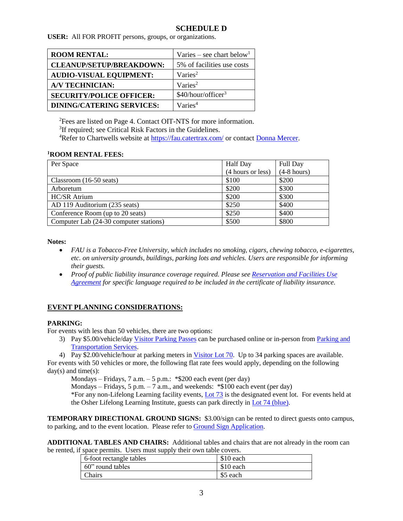### **SCHEDULE D**

**USER:** All FOR PROFIT persons, groups, or organizations.

| <b>ROOM RENTAL:</b>              | Varies – see chart below <sup>1</sup> |  |
|----------------------------------|---------------------------------------|--|
| <b>CLEANUP/SETUP/BREAKDOWN:</b>  | 5% of facilities use costs            |  |
| <b>AUDIO-VISUAL EQUIPMENT:</b>   | Varies <sup>2</sup>                   |  |
| <b>A/V TECHNICIAN:</b>           | Varies <sup>2</sup>                   |  |
| <b>SECURITY/POLICE OFFICER:</b>  | \$40/hour/offseticer <sup>3</sup>     |  |
| <b>DINING/CATERING SERVICES:</b> | Varies <sup>4</sup>                   |  |

<sup>2</sup>Fees are listed on Page 4. Contact OIT-NTS for more information. <sup>3</sup>If required; see Critical Risk Factors in the Guidelines. <sup>4</sup>Refer to Chartwells website at<https://fau.catertrax.com/> or contact [Donna Mercer.](mailto:djanez@gmx.com)

#### **<sup>1</sup>ROOM RENTAL FEES:**

| Per Space                              | <b>Half</b> Day   | <b>Full Day</b> |
|----------------------------------------|-------------------|-----------------|
|                                        | (4 hours or less) | $(4-8$ hours)   |
| Classroom $(16-50 \text{ seats})$      | \$100             | \$200           |
| Arboretum                              | \$200             | \$300           |
| <b>HC/SR Atrium</b>                    | \$200             | \$300           |
| AD 119 Auditorium (235 seats)          | \$250             | \$400           |
| Conference Room (up to 20 seats)       | \$250             | \$400           |
| Computer Lab (24-30 computer stations) | \$500             | \$800           |

**Notes:**

- *FAU is a Tobacco-Free University, which includes no smoking, cigars, chewing tobacco, e-cigarettes, etc. on university grounds, buildings, parking lots and vehicles. Users are responsible for informing their guests.*
- *Proof of public liability insurance coverage required. Please se[e Reservation and Facilities Use](http://www.fau.edu/facilities/osua/info/FacilitiesUseAgreement.pdf)  [Agreement](http://www.fau.edu/facilities/osua/info/FacilitiesUseAgreement.pdf) for specific language required to be included in the certificate of liability insurance.*

### **EVENT PLANNING CONSIDERATIONS:**

#### **PARKING:**

For events with less than 50 vehicles, there are two options:

3) Pay \$5.00/vehicle/day [Visitor Parking Passes](http://www.fau.edu/parking/permits.php) can be purchased online or in-person fro[m Parking and](http://www.fau.edu/parking/permits.php)  [Transportation Services.](http://www.fau.edu/parking/permits.php)

4) Pay \$2.00/vehicle/hour at parking meters in [Visitor Lot 70.](http://www.fau.edu/jupiter/spaceuse/Jupiter%20Campus%20Map_updated%2010.17.pdf) Up to 34 parking spaces are available. For events with 50 vehicles or more, the following flat rate fees would apply, depending on the following  $day(s)$  and time $(s)$ :

Mondays – Fridays, 7 a.m. – 5 p.m.:  $*$ \$200 each event (per day)

Mondays – Fridays, 5 p.m. – 7 a.m., and weekends:  $*100$  each event (per day)

\*For any non-Lifelong Learning facility events, [Lot 73](http://www.fau.edu/jupiter/spaceuse/Jupiter%20Campus%20Map_updated%2010.17.pdf) is the designated event lot. For events held at the Osher Lifelong Learning Institute, guests can park directly in [Lot 74 \(blue\).](http://www.fau.edu/jupiter/spaceuse/Jupiter%20Campus%20Map_updated%2010.17.pdf)

**TEMPORARY DIRECTIONAL GROUND SIGNS:** \$3.00/sign can be rented to direct guests onto campus, to parking, and to the event location. Please refer to [Ground Sign Application.](http://www.fau.edu/jupiter/spaceuse/Temp%20Ground%20Sign%20Application%20-%20Jupiter%20Campus_updated%201.9.18.pdf)

**ADDITIONAL TABLES AND CHAIRS:** Additional tables and chairs that are not already in the room can be rented, if space permits. Users must supply their own table covers.

| 6-foot rectangle tables | \$10 each |
|-------------------------|-----------|
| 60" round tables        | \$10 each |
| Chairs                  | \$5 each  |